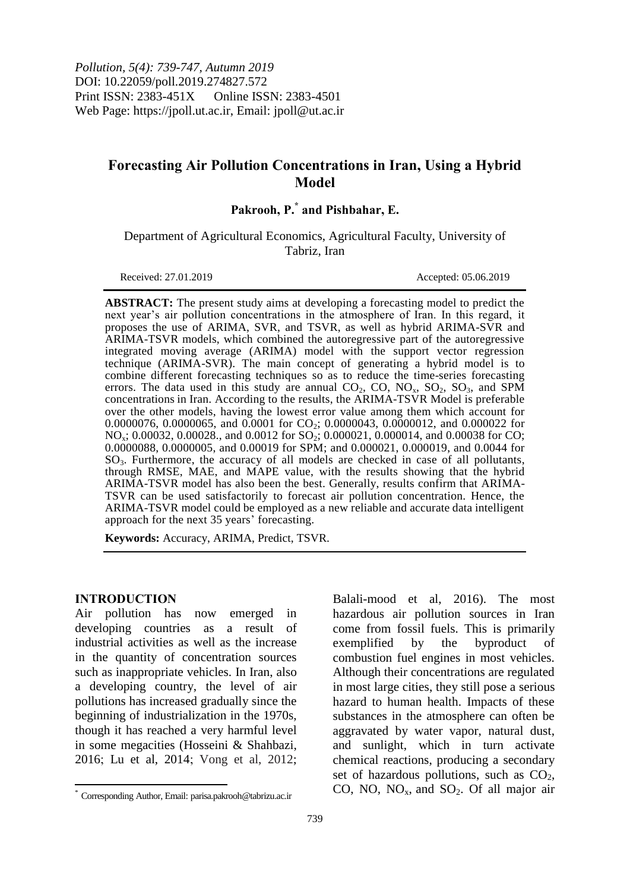*Pollution, 5(4): 739-747, Autumn 2019* DOI: 10.22059/poll.2019.274827.572 Print ISSN: 2383-451X Online ISSN: 2383-4501 Web Page: https://jpoll.ut.ac.ir, Email: jpoll@ut.ac.ir

# **Forecasting Air Pollution Concentrations in Iran, Using a Hybrid Model**

**Pakrooh, P. \* and Pishbahar, E.**

Department of Agricultural Economics, Agricultural Faculty, University of Tabriz, Iran

Received: 27.01.2019 Accepted: 05.06.2019

**ABSTRACT:** The present study aims at developing a forecasting model to predict the next year's air pollution concentrations in the atmosphere of Iran. In this regard, it proposes the use of ARIMA, SVR, and TSVR, as well as hybrid ARIMA-SVR and ARIMA-TSVR models, which combined the autoregressive part of the autoregressive integrated moving average (ARIMA) model with the support vector regression technique (ARIMA-SVR). The main concept of generating a hybrid model is to combine different forecasting techniques so as to reduce the time-series forecasting errors. The data used in this study are annual  $CO_2$ ,  $CO$ ,  $NO_x$ ,  $SO_2$ ,  $SO_3$ , and SPM concentrations in Iran. According to the results, the ARIMA-TSVR Model is preferable over the other models, having the lowest error value among them which account for 0.0000076, 0.0000065, and 0.0001 for  $CO_2$ ; 0.0000043, 0.0000012, and 0.000022 for NO<sub>x</sub>; 0.00032, 0.00028., and 0.0012 for SO<sub>2</sub>; 0.000021, 0.000014, and 0.00038 for CO; 0.0000088, 0.0000005, and 0.00019 for SPM; and 0.000021, 0.000019, and 0.0044 for SO3. Furthermore, the accuracy of all models are checked in case of all pollutants, through RMSE, MAE, and MAPE value, with the results showing that the hybrid ARIMA-TSVR model has also been the best. Generally, results confirm that ARIMA-TSVR can be used satisfactorily to forecast air pollution concentration. Hence, the ARIMA-TSVR model could be employed as a new reliable and accurate data intelligent approach for the next 35 years' forecasting.

**Keywords:** Accuracy, ARIMA, Predict, TSVR.

#### **INTRODUCTION**

 $\overline{a}$ 

Air pollution has now emerged in developing countries as a result of industrial activities as well as the increase in the quantity of concentration sources such as inappropriate vehicles. In Iran, also a developing country, the level of air pollutions has increased gradually since the beginning of industrialization in the 1970s, though it has reached a very harmful level in some megacities (Hosseini & Shahbazi, 2016; Lu et al, 2014; Vong et al, 2012;

Balali-mood et al, 2016). The most hazardous air pollution sources in Iran come from fossil fuels. This is primarily exemplified by the byproduct of combustion fuel engines in most vehicles. Although their concentrations are regulated in most large cities, they still pose a serious hazard to human health. Impacts of these substances in the atmosphere can often be aggravated by water vapor, natural dust, and sunlight, which in turn activate chemical reactions, producing a secondary set of hazardous pollutions, such as  $CO<sub>2</sub>$ , CO, NO,  $NO<sub>x</sub>$ , and  $SO<sub>2</sub>$ . Of all major air

<sup>\*</sup> Corresponding Author, Email: parisa.pakrooh@tabrizu.ac.ir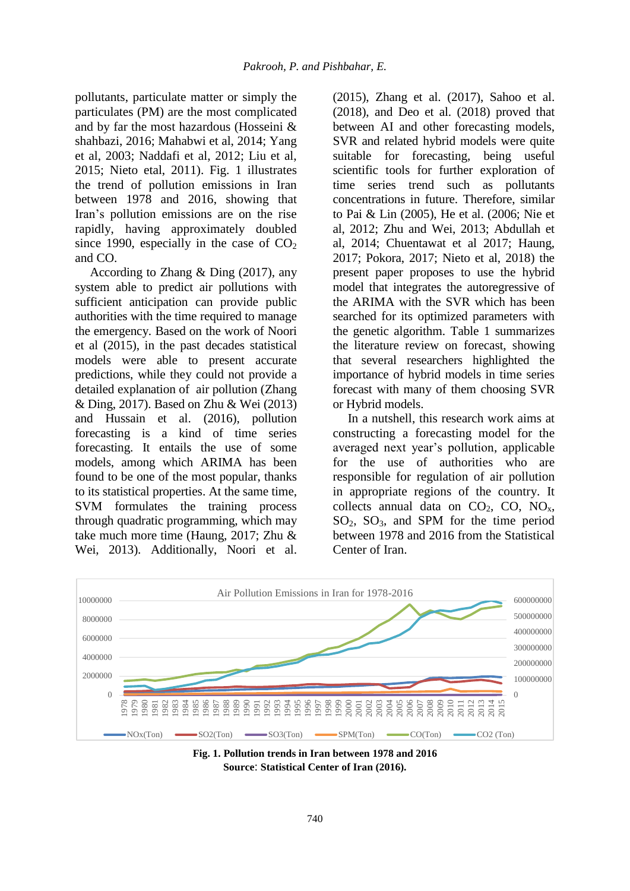pollutants, particulate matter or simply the particulates (PM) are the most complicated and by far the most hazardous (Hosseini & shahbazi, 2016; Mahabwi et al, 2014; Yang et al, 2003; Naddafi et al, 2012; Liu et al, 2015; Nieto etal, 2011). Fig. 1 illustrates the trend of pollution emissions in Iran between 1978 and 2016, showing that Iran's pollution emissions are on the rise rapidly, having approximately doubled since 1990, especially in the case of  $CO<sub>2</sub>$ and CO.

According to Zhang & Ding (2017), any system able to predict air pollutions with sufficient anticipation can provide public authorities with the time required to manage the emergency. Based on the work of Noori et al (2015), in the past decades statistical models were able to present accurate predictions, while they could not provide a detailed explanation of air pollution (Zhang & Ding, 2017). Based on Zhu & Wei (2013) and Hussain et al. (2016), pollution forecasting is a kind of time series forecasting. It entails the use of some models, among which ARIMA has been found to be one of the most popular, thanks to its statistical properties. At the same time, SVM formulates the training process through quadratic programming, which may take much more time (Haung, 2017; Zhu & Wei, 2013). Additionally, Noori et al.

(2015), Zhang et al. (2017), Sahoo et al. (2018), and Deo et al. (2018) proved that between AI and other forecasting models, SVR and related hybrid models were quite suitable for forecasting, being useful scientific tools for further exploration of time series trend such as pollutants concentrations in future. Therefore, similar to Pai & Lin (2005), He et al. (2006; Nie et al, 2012; Zhu and Wei, 2013; Abdullah et al, 2014; Chuentawat et al 2017; Haung, 2017; Pokora, 2017; Nieto et al, 2018) the present paper proposes to use the hybrid model that integrates the autoregressive of the ARIMA with the SVR which has been searched for its optimized parameters with the genetic algorithm. Table 1 summarizes the literature review on forecast, showing that several researchers highlighted the importance of hybrid models in time series forecast with many of them choosing SVR or Hybrid models.

In a nutshell, this research work aims at constructing a forecasting model for the averaged next year's pollution, applicable for the use of authorities who are responsible for regulation of air pollution in appropriate regions of the country. It collects annual data on  $CO<sub>2</sub>$ , CO, NO<sub>x</sub>,  $SO_2$ ,  $SO_3$ , and SPM for the time period between 1978 and 2016 from the Statistical Center of Iran.



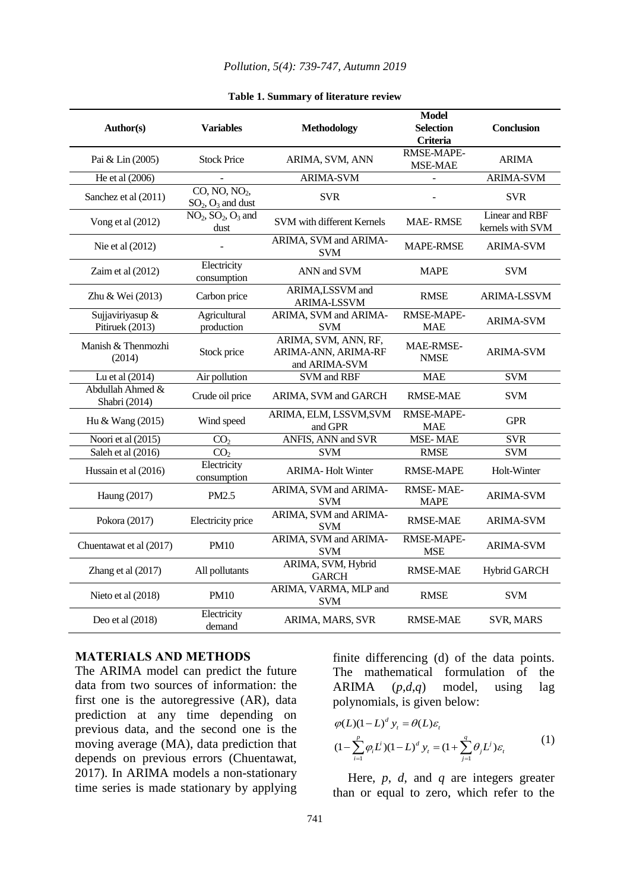### *Pollution, 5(4): 739-747, Autumn 2019*

| Author(s)                           | <b>Variables</b>                                   | <b>Methodology</b>                                           | <b>Model</b><br><b>Selection</b> | <b>Conclusion</b>                  |
|-------------------------------------|----------------------------------------------------|--------------------------------------------------------------|----------------------------------|------------------------------------|
|                                     |                                                    |                                                              | Criteria                         |                                    |
| Pai & Lin (2005)                    | <b>Stock Price</b>                                 | ARIMA, SVM, ANN                                              | RMSE-MAPE-<br>MSE-MAE            | <b>ARIMA</b>                       |
| He et al (2006)                     |                                                    | <b>ARIMA-SVM</b>                                             |                                  | <b>ARIMA-SVM</b>                   |
| Sanchez et al (2011)                | CO, NO, NO <sub>2</sub><br>$SO_2$ , $O_3$ and dust | <b>SVR</b>                                                   |                                  | <b>SVR</b>                         |
| Vong et al (2012)                   | $NO2, SO2, O3$ and<br>dust                         | SVM with different Kernels                                   | <b>MAE-RMSE</b>                  | Linear and RBF<br>kernels with SVM |
| Nie et al (2012)                    |                                                    | ARIMA, SVM and ARIMA-<br><b>SVM</b>                          | <b>MAPE-RMSE</b>                 | <b>ARIMA-SVM</b>                   |
| Zaim et al (2012)                   | Electricity<br>consumption                         | ANN and SVM                                                  | <b>MAPE</b>                      | <b>SVM</b>                         |
| Zhu & Wei (2013)                    | Carbon price                                       | ARIMA,LSSVM and<br>ARIMA-LSSVM                               | <b>RMSE</b>                      | <b>ARIMA-LSSVM</b>                 |
| Sujjaviriyasup &<br>Pitiruek (2013) | Agricultural<br>production                         | ARIMA, SVM and ARIMA-<br><b>SVM</b>                          | RMSE-MAPE-<br><b>MAE</b>         | <b>ARIMA-SVM</b>                   |
| Manish & Thenmozhi<br>(2014)        | Stock price                                        | ARIMA, SVM, ANN, RF,<br>ARIMA-ANN, ARIMA-RF<br>and ARIMA-SVM | <b>MAE-RMSE-</b><br><b>NMSE</b>  | <b>ARIMA-SVM</b>                   |
| Lu et al (2014)                     | Air pollution                                      | SVM and RBF                                                  | <b>MAE</b>                       | <b>SVM</b>                         |
| Abdullah Ahmed &<br>Shabri (2014)   | Crude oil price                                    | ARIMA, SVM and GARCH                                         | <b>RMSE-MAE</b>                  | <b>SVM</b>                         |
| Hu & Wang (2015)                    | Wind speed                                         | ARIMA, ELM, LSSVM, SVM<br>and GPR                            | RMSE-MAPE-<br><b>MAE</b>         | <b>GPR</b>                         |
| Noori et al (2015)                  | CO <sub>2</sub>                                    | ANFIS, ANN and SVR                                           | <b>MSE-MAE</b>                   | <b>SVR</b>                         |
| Saleh et al (2016)                  | CO <sub>2</sub>                                    | <b>SVM</b>                                                   | <b>RMSE</b>                      | <b>SVM</b>                         |
| Hussain et al (2016)                | Electricity<br>consumption                         | <b>ARIMA-Holt Winter</b>                                     | <b>RMSE-MAPE</b>                 | Holt-Winter                        |
| Haung (2017)                        | PM2.5                                              | ARIMA, SVM and ARIMA-<br><b>SVM</b>                          | <b>RMSE-MAE-</b><br><b>MAPE</b>  | <b>ARIMA-SVM</b>                   |
| Pokora (2017)                       | Electricity price                                  | ARIMA, SVM and ARIMA-<br><b>SVM</b>                          | RMSE-MAE                         | <b>ARIMA-SVM</b>                   |
| Chuentawat et al (2017)             | <b>PM10</b>                                        | ARIMA, SVM and ARIMA-<br><b>SVM</b>                          | RMSE-MAPE-<br><b>MSE</b>         | <b>ARIMA-SVM</b>                   |
| Zhang et al (2017)                  | All pollutants                                     | ARIMA, SVM, Hybrid<br><b>GARCH</b>                           | <b>RMSE-MAE</b>                  | <b>Hybrid GARCH</b>                |
| Nieto et al (2018)                  | <b>PM10</b>                                        | ARIMA, VARMA, MLP and<br><b>SVM</b>                          | <b>RMSE</b>                      | <b>SVM</b>                         |
| Deo et al $(2018)$                  | Electricity<br>demand                              | ARIMA, MARS, SVR                                             | <b>RMSE-MAE</b>                  | SVR, MARS                          |

#### **Table 1. Summary of literature review**

## **MATERIALS AND METHODS**

The ARIMA model can predict the future data from two sources of information: the first one is the autoregressive (AR), data prediction at any time depending on previous data, and the second one is the moving average (MA), data prediction that depends on previous errors (Chuentawat, 2017). In ARIMA models a non-stationary time series is made stationary by applying

finite differencing (d) of the data points. The mathematical formulation of the ARIMA (*p*,*d*,*q*) model, using lag

polynomials, is given below:  
\n
$$
\varphi(L)(1-L)^{d} y_{t} = \theta(L)\varepsilon_{t}
$$
\n
$$
(1 - \sum_{i=1}^{p} \varphi_{i} L^{i})(1-L)^{d} y_{t} = (1 + \sum_{j=1}^{q} \theta_{j} L^{j})\varepsilon_{t}
$$
\n(1)

Here, *p*, *d*, and *q* are integers greater than or equal to zero, which refer to the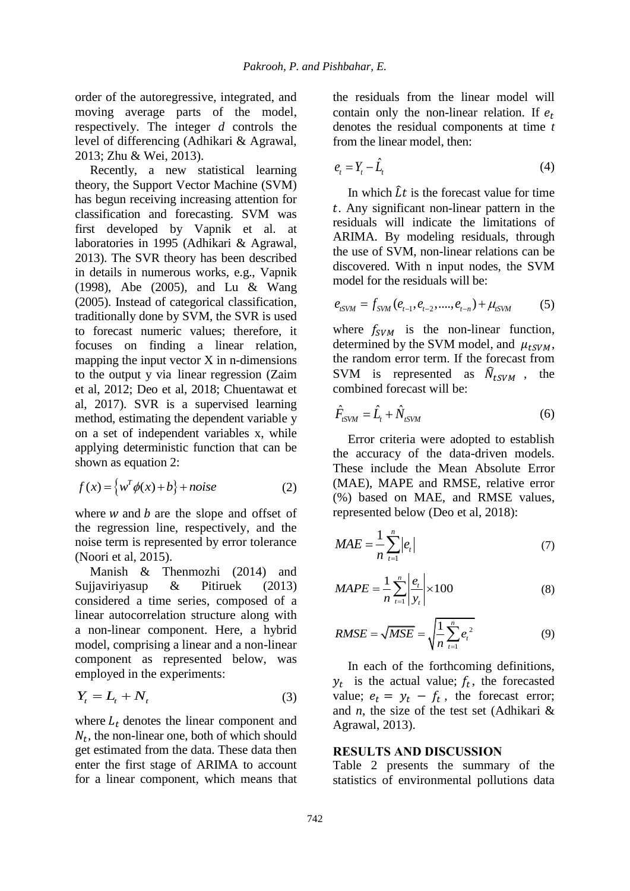order of the autoregressive, integrated, and moving average parts of the model, respectively. The integer *d* controls the level of differencing (Adhikari & Agrawal, 2013; Zhu & Wei, 2013).

Recently, a new statistical learning theory, the Support Vector Machine (SVM) has begun receiving increasing attention for classification and forecasting. SVM was first developed by Vapnik et al. at laboratories in 1995 (Adhikari & Agrawal, 2013). The SVR theory has been described in details in numerous works, e.g., Vapnik (1998), Abe (2005), and Lu & Wang (2005). Instead of categorical classification, traditionally done by SVM, the SVR is used to forecast numeric values; therefore, it focuses on finding a linear relation, mapping the input vector X in n-dimensions to the output y via linear regression (Zaim et al, 2012; Deo et al, 2018; Chuentawat et al, 2017). SVR is a supervised learning method, estimating the dependent variable y on a set of independent variables x, while applying deterministic function that can be shown as equation 2:

$$
f(x) = \left\{ w^T \phi(x) + b \right\} + noise \tag{2}
$$

where  $w$  and  $b$  are the slope and offset of the regression line, respectively, and the noise term is represented by error tolerance (Noori et al, 2015).

Manish & Thenmozhi (2014) and Sujjaviriyasup & Pitiruek (2013) considered a time series, composed of a linear autocorrelation structure along with a non-linear component. Here, a hybrid model, comprising a linear and a non-linear component as represented below, was employed in the experiments:

$$
Y_t = L_t + N_t \tag{3}
$$

where  $L_t$  denotes the linear component and  $N_t$ , the non-linear one, both of which should get estimated from the data. These data then enter the first stage of ARIMA to account for a linear component, which means that the residuals from the linear model will contain only the non-linear relation. If  $e_t$ denotes the residual components at time *t*  from the linear model, then:

$$
e_t = Y_t - \hat{L}_t \tag{4}
$$

In which  $\hat{L}t$  is the forecast value for time . Any significant non-linear pattern in the residuals will indicate the limitations of ARIMA. By modeling residuals, through the use of SVM, non-linear relations can be discovered. With n input nodes, the SVM model for the residuals will be:

$$
e_{tSWM} = f_{SWM}(e_{t-1}, e_{t-2}, \dots, e_{t-n}) + \mu_{tSWM}
$$
 (5)

where  $f_{sVM}$  is the non-linear function, determined by the SVM model, and  $\mu_{tSVM}$ , the random error term. If the forecast from SVM is represented as  $\hat{N}_{t}$ <sub>SVM</sub>, the combined forecast will be:

$$
\hat{F}_{tSWM} = \hat{L}_t + \hat{N}_{tSWM} \tag{6}
$$

Error criteria were adopted to establish the accuracy of the data-driven models. These include the Mean Absolute Error (MAE), MAPE and RMSE, relative error (%) based on MAE, and RMSE values, represented below (Deo et al, 2018):

$$
MAE = \frac{1}{n} \sum_{t=1}^{n} |e_t|
$$
 (7)

$$
MAPE = \frac{1}{n} \sum_{t=1}^{n} \left| \frac{e_t}{y_t} \right| \times 100
$$
 (8)

RMSE = 
$$
\sqrt{MSE} = \sqrt{\frac{1}{n} \sum_{t=1}^{n} e_t^2}
$$
 (9)

In each of the forthcoming definitions,  $y_t$  is the actual value;  $f_t$ , the forecasted value;  $e_t = y_t - f_t$ , the forecast error; and *n*, the size of the test set (Adhikari & Agrawal, 2013).

## **RESULTS AND DISCUSSION**

Table 2 presents the summary of the statistics of environmental pollutions data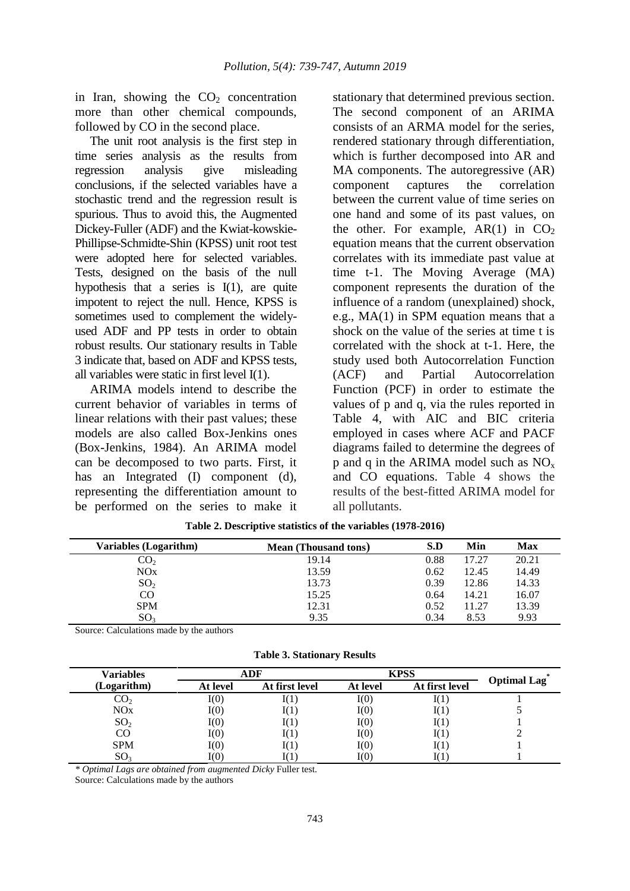in Iran, showing the  $CO<sub>2</sub>$  concentration more than other chemical compounds, followed by CO in the second place.

The unit root analysis is the first step in time series analysis as the results from regression analysis give misleading conclusions, if the selected variables have a stochastic trend and the regression result is spurious. Thus to avoid this, the Augmented Dickey-Fuller (ADF) and the Kwiat-kowskie-Phillipse-Schmidte-Shin (KPSS) unit root test were adopted here for selected variables. Tests, designed on the basis of the null hypothesis that a series is I(1), are quite impotent to reject the null. Hence, KPSS is sometimes used to complement the widelyused ADF and PP tests in order to obtain robust results. Our stationary results in Table 3 indicate that, based on ADF and KPSS tests, all variables were static in first level I(1).

ARIMA models intend to describe the current behavior of variables in terms of linear relations with their past values; these models are also called Box-Jenkins ones (Box-Jenkins, 1984). An ARIMA model can be decomposed to two parts. First, it has an Integrated (I) component (d), representing the differentiation amount to be performed on the series to make it

stationary that determined previous section. The second component of an ARIMA consists of an ARMA model for the series, rendered stationary through differentiation, which is further decomposed into AR and MA components. The autoregressive (AR) component captures the correlation between the current value of time series on one hand and some of its past values, on the other. For example,  $AR(1)$  in  $CO<sub>2</sub>$ equation means that the current observation correlates with its immediate past value at time t-1. The Moving Average (MA) component represents the duration of the influence of a random (unexplained) shock, e.g., MA(1) in SPM equation means that a shock on the value of the series at time t is correlated with the shock at t-1. Here, the study used both Autocorrelation Function (ACF) and Partial Autocorrelation Function (PCF) in order to estimate the values of p and q, via the rules reported in Table 4, with AIC and BIC criteria employed in cases where ACF and PACF diagrams failed to determine the degrees of p and q in the ARIMA model such as  $NO<sub>x</sub>$ and CO equations. Table 4 shows the results of the best-fitted ARIMA model for all pollutants.

| Variables (Logarithm) | <b>Mean (Thousand tons)</b> | S.D  | Min   | Max   |
|-----------------------|-----------------------------|------|-------|-------|
| CO <sub>2</sub>       | 19.14                       | 0.88 | 17.27 | 20.21 |
| NOx                   | 13.59                       | 0.62 | 12.45 | 14.49 |
| SO <sub>2</sub>       | 13.73                       | 0.39 | 12.86 | 14.33 |
| CO                    | 15.25                       | 0.64 | 14.21 | 16.07 |
| <b>SPM</b>            | 12.31                       | 0.52 | 11.27 | 13.39 |
| SO <sub>3</sub>       | 9.35                        | 0.34 | 8.53  | 9.93  |

**Table 2. Descriptive statistics of the variables (1978-2016)**

Source: Calculations made by the authors

|  |  | <b>Table 3. Stationary Results</b> |  |
|--|--|------------------------------------|--|
|--|--|------------------------------------|--|

| Variables       | ADF           |                | <b>KPSS</b>  |                |                    |
|-----------------|---------------|----------------|--------------|----------------|--------------------|
| (Logarithm)     | At level      | At first level | At level     | At first level | <b>Optimal Lag</b> |
| CO <sub>2</sub> | $\text{I}(0)$ |                | I(0)         |                |                    |
| NOx             | $\text{I}(0)$ |                | I(0)         |                |                    |
| SO <sub>2</sub> | $\text{I}(0)$ |                | I(0)         |                |                    |
| CO              | I(0)          |                | I(0)         |                |                    |
| <b>SPM</b>      | $\text{I}(0)$ |                | I(0)         | 1( 1 )         |                    |
| SO <sub>3</sub> | I(0)          |                | ${\rm I}(0)$ |                |                    |

*\* Optimal Lags are obtained from augmented Dicky* Fuller test.

Source: Calculations made by the authors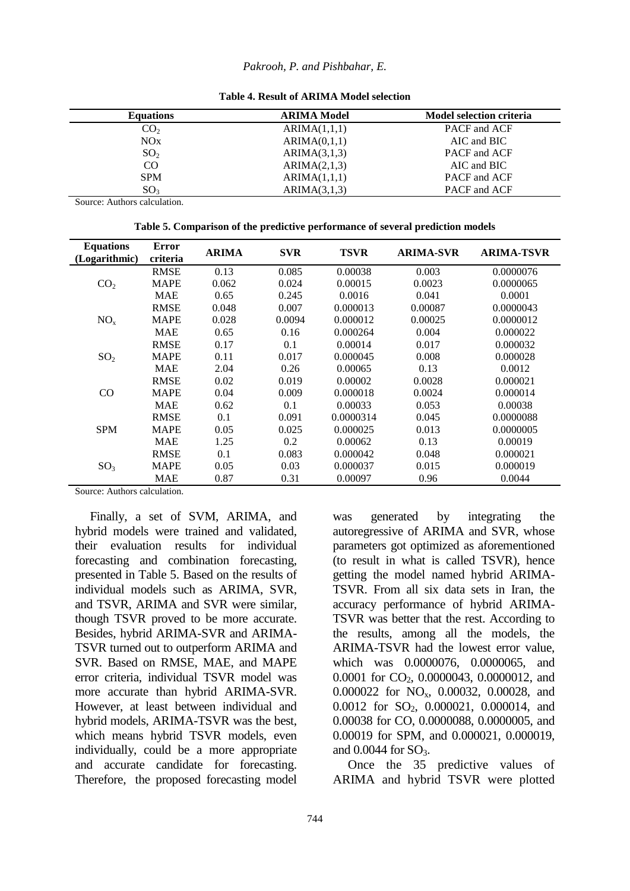| <b>Equations</b> | <b>ARIMA Model</b> | <b>Model selection criteria</b> |
|------------------|--------------------|---------------------------------|
| CO <sub>2</sub>  | ARIMA(1,1,1)       | PACF and ACF                    |
| NOx              | ARIMA(0,1,1)       | AIC and BIC                     |
| SO <sub>2</sub>  | ARIMA(3,1,3)       | PACF and ACF                    |
| CO               | ARIMA(2,1,3)       | $AIC$ and $BIC$                 |
| <b>SPM</b>       | ARIMA(1,1,1)       | PACF and ACF                    |
| SO <sub>3</sub>  | ARIMA(3,1,3)       | PACF and ACF                    |

**Table 4. Result of ARIMA Model selection**

Source: Authors calculation.

**Table 5. Comparison of the predictive performance of several prediction models**

| <b>Equations</b><br>(Logarithmic) | <b>Error</b><br>criteria | <b>ARIMA</b> | <b>SVR</b> | <b>TSVR</b> | <b>ARIMA-SVR</b> | <b>ARIMA-TSVR</b> |
|-----------------------------------|--------------------------|--------------|------------|-------------|------------------|-------------------|
| CO <sub>2</sub>                   | <b>RMSE</b>              | 0.13         | 0.085      | 0.00038     | 0.003            | 0.0000076         |
|                                   | <b>MAPE</b>              | 0.062        | 0.024      | 0.00015     | 0.0023           | 0.0000065         |
|                                   | <b>MAE</b>               | 0.65         | 0.245      | 0.0016      | 0.041            | 0.0001            |
|                                   | <b>RMSE</b>              | 0.048        | 0.007      | 0.000013    | 0.00087          | 0.0000043         |
| NO <sub>x</sub>                   | <b>MAPE</b>              | 0.028        | 0.0094     | 0.000012    | 0.00025          | 0.0000012         |
|                                   | <b>MAE</b>               | 0.65         | 0.16       | 0.000264    | 0.004            | 0.000022          |
|                                   | <b>RMSE</b>              | 0.17         | 0.1        | 0.00014     | 0.017            | 0.000032          |
| SO <sub>2</sub>                   | <b>MAPE</b>              | 0.11         | 0.017      | 0.000045    | 0.008            | 0.000028          |
|                                   | <b>MAE</b>               | 2.04         | 0.26       | 0.00065     | 0.13             | 0.0012            |
| CO                                | <b>RMSE</b>              | 0.02         | 0.019      | 0.00002     | 0.0028           | 0.000021          |
|                                   | <b>MAPE</b>              | 0.04         | 0.009      | 0.000018    | 0.0024           | 0.000014          |
|                                   | <b>MAE</b>               | 0.62         | 0.1        | 0.00033     | 0.053            | 0.00038           |
| <b>SPM</b>                        | <b>RMSE</b>              | 0.1          | 0.091      | 0.0000314   | 0.045            | 0.0000088         |
|                                   | <b>MAPE</b>              | 0.05         | 0.025      | 0.000025    | 0.013            | 0.0000005         |
|                                   | <b>MAE</b>               | 1.25         | 0.2        | 0.00062     | 0.13             | 0.00019           |
| SO <sub>3</sub>                   | <b>RMSE</b>              | 0.1          | 0.083      | 0.000042    | 0.048            | 0.000021          |
|                                   | <b>MAPE</b>              | 0.05         | 0.03       | 0.000037    | 0.015            | 0.000019          |
|                                   | <b>MAE</b>               | 0.87         | 0.31       | 0.00097     | 0.96             | 0.0044            |

Source: Authors calculation.

Finally, a set of SVM, ARIMA, and hybrid models were trained and validated, their evaluation results for individual forecasting and combination forecasting, presented in Table 5. Based on the results of individual models such as ARIMA, SVR, and TSVR, ARIMA and SVR were similar, though TSVR proved to be more accurate. Besides, hybrid ARIMA-SVR and ARIMA-TSVR turned out to outperform ARIMA and SVR. Based on RMSE, MAE, and MAPE error criteria, individual TSVR model was more accurate than hybrid ARIMA-SVR. However, at least between individual and hybrid models, ARIMA-TSVR was the best, which means hybrid TSVR models, even individually, could be a more appropriate and accurate candidate for forecasting. Therefore, the proposed forecasting model

0.0001 for CO<sub>2</sub>, 0.0000043, 0.0000012, and 0.000022 for NOx, 0.00032, 0.00028, and 0.0012 for SO<sub>2</sub>, 0.000021, 0.000014, and 0.00038 for CO, 0.0000088, 0.0000005, and 0.00019 for SPM, and 0.000021, 0.000019, and  $0.0044$  for  $SO<sub>3</sub>$ . Once the 35 predictive values of ARIMA and hybrid TSVR were plotted

was generated by integrating the autoregressive of ARIMA and SVR, whose parameters got optimized as aforementioned (to result in what is called TSVR), hence getting the model named hybrid ARIMA-TSVR. From all six data sets in Iran, the accuracy performance of hybrid ARIMA-TSVR was better that the rest. According to the results, among all the models, the ARIMA-TSVR had the lowest error value, which was 0.0000076, 0.0000065, and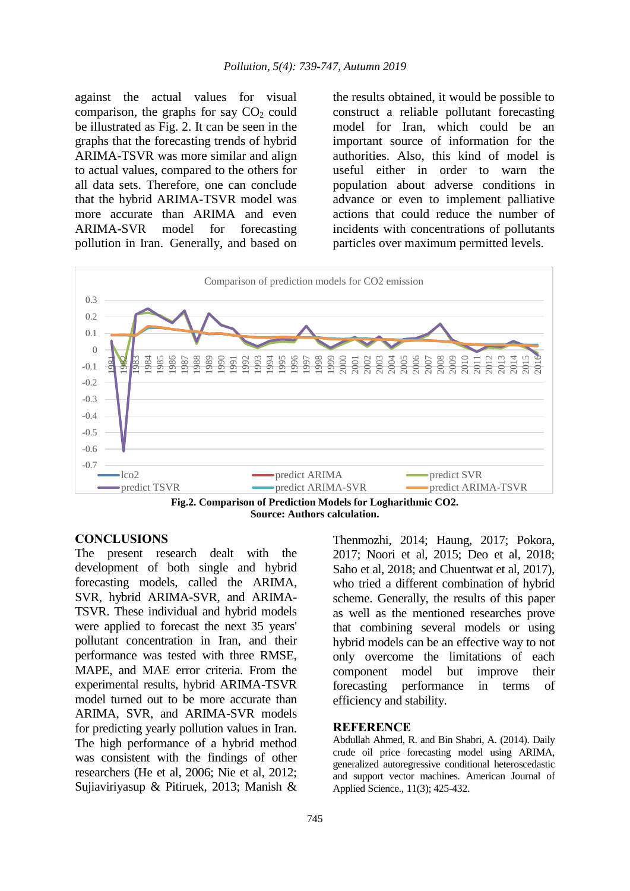against the actual values for visual comparison, the graphs for say  $CO<sub>2</sub>$  could be illustrated as Fig. 2. It can be seen in the graphs that the forecasting trends of hybrid ARIMA-TSVR was more similar and align to actual values, compared to the others for all data sets. Therefore, one can conclude that the hybrid ARIMA-TSVR model was more accurate than ARIMA and even ARIMA-SVR model for forecasting pollution in Iran. Generally, and based on

the results obtained, it would be possible to construct a reliable pollutant forecasting model for Iran, which could be an important source of information for the authorities. Also, this kind of model is useful either in order to warn the population about adverse conditions in advance or even to implement palliative actions that could reduce the number of incidents with concentrations of pollutants particles over maximum permitted levels.



**Fig.2. Comparison of Prediction Models for Logharithmic CO2. Source: Authors calculation.**

## **CONCLUSIONS**

The present research dealt with the development of both single and hybrid forecasting models, called the ARIMA, SVR, hybrid ARIMA-SVR, and ARIMA-TSVR. These individual and hybrid models were applied to forecast the next 35 years' pollutant concentration in Iran, and their performance was tested with three RMSE, MAPE, and MAE error criteria. From the experimental results, hybrid ARIMA-TSVR model turned out to be more accurate than ARIMA, SVR, and ARIMA-SVR models for predicting yearly pollution values in Iran. The high performance of a hybrid method was consistent with the findings of other researchers (He et al, 2006; Nie et al, 2012; Sujiaviriyasup & Pitiruek, 2013; Manish &

Thenmozhi, 2014; Haung, 2017; Pokora, 2017; Noori et al, 2015; Deo et al, 2018; Saho et al, 2018; and Chuentwat et al, 2017), who tried a different combination of hybrid scheme. Generally, the results of this paper as well as the mentioned researches prove that combining several models or using hybrid models can be an effective way to not only overcome the limitations of each component model but improve their forecasting performance in terms of efficiency and stability.

#### **REFERENCE**

Abdullah Ahmed, R. and Bin Shabri, A. (2014). Daily crude oil price forecasting model using ARIMA, generalized autoregressive conditional heteroscedastic and support vector machines. American Journal of Applied Science., 11(3); 425-432.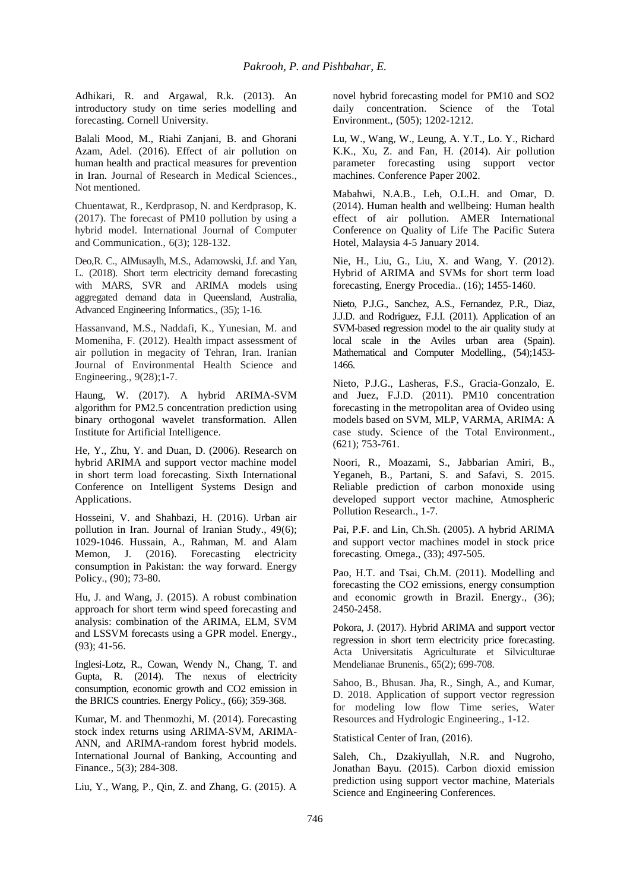Adhikari, R. and Argawal, R.k. (2013). An introductory study on time series modelling and forecasting. Cornell University.

Balali Mood, M., Riahi Zanjani, B. and Ghorani Azam, Adel. (2016). Effect of air pollution on human health and practical measures for prevention in Iran. Journal of Research in Medical Sciences., Not mentioned.

Chuentawat, R., Kerdprasop, N. and Kerdprasop, K. (2017). The forecast of PM10 pollution by using a hybrid model. International Journal of Computer and Communication., 6(3); 128-132.

Deo,R. C., AlMusaylh, M.S., Adamowski, J.f. and Yan, L. (2018). Short term electricity demand forecasting with MARS, SVR and ARIMA models using aggregated demand data in Queensland, Australia, Advanced Engineering Informatics., (35); 1-16.

Hassanvand, M.S., Naddafi, K., Yunesian, M. and Momeniha, F. (2012). Health impact assessment of air pollution in megacity of Tehran, Iran. Iranian Journal of Environmental Health Science and Engineering., 9(28);1-7.

Haung, W. (2017). A hybrid ARIMA-SVM algorithm for PM2.5 concentration prediction using binary orthogonal wavelet transformation. Allen Institute for Artificial Intelligence.

He, Y., Zhu, Y. and Duan, D. (2006). Research on hybrid ARIMA and support vector machine model in short term load forecasting. Sixth International Conference on Intelligent Systems Design and Applications.

Hosseini, V. and Shahbazi, H. (2016). Urban air pollution in Iran. Journal of Iranian Study., 49(6); 1029-1046. Hussain, A., Rahman, M. and Alam Memon, J. (2016). Forecasting electricity consumption in Pakistan: the way forward. Energy Policy., (90); 73-80.

Hu, J. and Wang, J. (2015). A robust combination approach for short term wind speed forecasting and analysis: combination of the ARIMA, ELM, SVM and LSSVM forecasts using a GPR model. Energy., (93); 41-56.

Inglesi-Lotz, R., Cowan, Wendy N., Chang, T. and Gupta, R. (2014). The nexus of electricity consumption, economic growth and CO2 emission in the BRICS countries. Energy Policy., (66); 359-368.

Kumar, M. and Thenmozhi, M. (2014). Forecasting stock index returns using ARIMA-SVM, ARIMA-ANN, and ARIMA-random forest hybrid models. International Journal of Banking, Accounting and Finance., 5(3); 284-308.

Liu, Y., Wang, P., Qin, Z. and Zhang, G. (2015). A

novel hybrid forecasting model for PM10 and SO2 daily concentration. Science of the Total Environment., (505); 1202-1212.

Lu, W., Wang, W., Leung, A. Y.T., Lo. Y., Richard K.K., Xu, Z. and Fan, H. (2014). Air pollution parameter forecasting using support vector machines. Conference Paper 2002.

Mabahwi, N.A.B., Leh, O.L.H. and Omar, D. (2014). Human health and wellbeing: Human health effect of air pollution. AMER International Conference on Quality of Life The Pacific Sutera Hotel, Malaysia 4-5 January 2014.

Nie, H., Liu, G., Liu, X. and Wang, Y. (2012). Hybrid of ARIMA and SVMs for short term load forecasting, Energy Procedia.. (16); 1455-1460.

Nieto, P.J.G., Sanchez, A.S., Fernandez, P.R., Diaz, J.J.D. and Rodriguez, F.J.I. (2011). Application of an SVM-based regression model to the air quality study at local scale in the Aviles urban area (Spain). Mathematical and Computer Modelling., (54);1453- 1466.

Nieto, P.J.G., Lasheras, F.S., Gracia-Gonzalo, E. and Juez, F.J.D. (2011). PM10 concentration forecasting in the metropolitan area of Ovideo using models based on SVM, MLP, VARMA, ARIMA: A case study. Science of the Total Environment., (621); 753-761.

Noori, R., Moazami, S., Jabbarian Amiri, B., Yeganeh, B., Partani, S. and Safavi, S. 2015. Reliable prediction of carbon monoxide using developed support vector machine, Atmospheric Pollution Research., 1-7.

Pai, P.F. and Lin, Ch.Sh. (2005). A hybrid ARIMA and support vector machines model in stock price forecasting. Omega., (33); 497-505.

Pao, H.T. and Tsai, Ch.M. (2011). Modelling and forecasting the CO2 emissions, energy consumption and economic growth in Brazil. Energy., (36); 2450-2458.

Pokora, J. (2017). Hybrid ARIMA and support vector regression in short term electricity price forecasting. Acta Universitatis Agriculturate et Silviculturae Mendelianae Brunenis., 65(2); 699-708.

Sahoo, B., Bhusan. Jha, R., Singh, A., and Kumar, D. 2018. Application of support vector regression for modeling low flow Time series, Water Resources and Hydrologic Engineering., 1-12.

Statistical Center of Iran, (2016).

Saleh, Ch., Dzakiyullah, N.R. and Nugroho, Jonathan Bayu. (2015). Carbon dioxid emission prediction using support vector machine, Materials Science and Engineering Conferences.